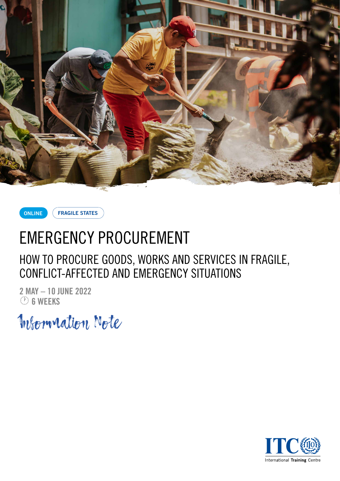



**FRAGILE STATES**

# EMERGENCY PROCUREMENT

HOW TO PROCURE GOODS, WORKS AND SERVICES IN FRAGILE, CONFLICT-AFFECTED AND EMERGENCY SITUATIONS

**2 MAY – 10 JUNE 2022** · **6 WEEKS**

Information Note

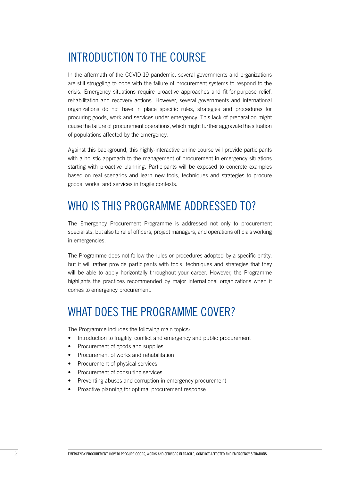# INTRODUCTION TO THE COURSE

In the aftermath of the COVID-19 pandemic, several governments and organizations are still struggling to cope with the failure of procurement systems to respond to the crisis. Emergency situations require proactive approaches and fit-for-purpose relief, rehabilitation and recovery actions. However, several governments and international organizations do not have in place specific rules, strategies and procedures for procuring goods, work and services under emergency. This lack of preparation might cause the failure of procurement operations, which might further aggravate the situation of populations affected by the emergency.

Against this background, this highly-interactive online course will provide participants with a holistic approach to the management of procurement in emergency situations starting with proactive planning. Participants will be exposed to concrete examples based on real scenarios and learn new tools, techniques and strategies to procure goods, works, and services in fragile contexts.

#### WHO IS THIS PROGRAMME ADDRESSED TO?

The Emergency Procurement Programme is addressed not only to procurement specialists, but also to relief officers, project managers, and operations officials working in emergencies.

The Programme does not follow the rules or procedures adopted by a specific entity, but it will rather provide participants with tools, techniques and strategies that they will be able to apply horizontally throughout your career. However, the Programme highlights the practices recommended by major international organizations when it comes to emergency procurement.

### WHAT DOES THE PROGRAMME COVER?

The Programme includes the following main topics:

- Introduction to fragility, conflict and emergency and public procurement
- Procurement of goods and supplies
- Procurement of works and rehabilitation
- Procurement of physical services
- Procurement of consulting services
- Preventing abuses and corruption in emergency procurement
- Proactive planning for optimal procurement response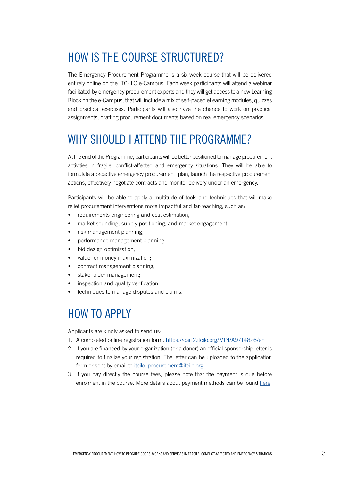### HOW IS THE COURSE STRUCTURED?

The Emergency Procurement Programme is a six-week course that will be delivered entirely online on the ITC-ILO e-Campus. Each week participants will attend a webinar facilitated by emergency procurement experts and they will get access to a new Learning Block on the e-Campus, that will include a mix of self-paced eLearning modules, quizzes and practical exercises. Participants will also have the chance to work on practical assignments, drafting procurement documents based on real emergency scenarios.

# WHY SHOULD I ATTEND THE PROGRAMME?

At the end of the Programme, participants will be better positioned to manage procurement activities in fragile, conflict-affected and emergency situations. They will be able to formulate a proactive emergency procurement plan, launch the respective procurement actions, effectively negotiate contracts and monitor delivery under an emergency.

Participants will be able to apply a multitude of tools and techniques that will make relief procurement interventions more impactful and far-reaching, such as:

- requirements engineering and cost estimation;
- market sounding, supply positioning, and market engagement:
- risk management planning;
- performance management planning;
- bid design optimization:
- value-for-money maximization;
- contract management planning;
- stakeholder management;
- inspection and quality verification;
- techniques to manage disputes and claims.

#### HOW TO APPLY

Applicants are kindly asked to send us:

- 1. A completed online registration form: <https://oarf2.itcilo.org/MIN/A9714826/en>
- 2. If you are financed by your organization (or a donor) an official sponsorship letter is required to finalize your registration. The letter can be uploaded to the application form or sent by email to [itcilo\\_procurement@itcilo.org](itcilo_procurement@itcilo.org)
- 3. If you pay directly the course fees, please note that the payment is due before enrolment in the course. More details about payment methods can be found [here](https://www.itcilo.org/applications-payments-cancellation).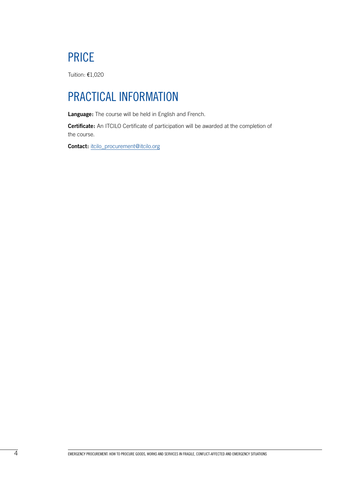### PRICE

Tuition: €1,020

# PRACTICAL INFORMATION

**Language:** The course will be held in English and French.

**Certificate:** An ITCILO Certificate of participation will be awarded at the completion of the course.

**Contact:** [itcilo\\_procurement@itcilo.org](itcilo_procurement@itcilo.org)